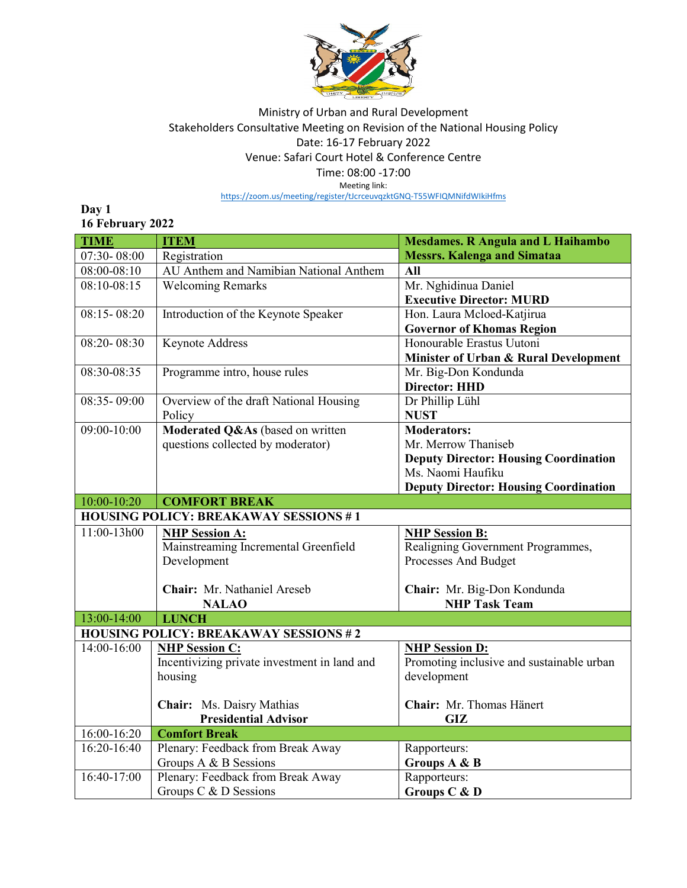

## Ministry of Urban and Rural Development Stakeholders Consultative Meeting on Revision of the National Housing Policy Date: 16-17 February 2022 Venue: Safari Court Hotel & Conference Centre Time: 08:00 -17:00

Meeting link:

<https://zoom.us/meeting/register/tJcrceuvqzktGNQ-T55WFIQMNifdWIkiHfms>

**Day 1 16 February 2022**

| <b>TIME</b>                                  | <b>ITEM</b>                                  | <b>Mesdames. R Angula and L Haihambo</b>     |  |
|----------------------------------------------|----------------------------------------------|----------------------------------------------|--|
| 07:30-08:00                                  | Registration                                 | <b>Messrs. Kalenga and Simataa</b>           |  |
| 08:00-08:10                                  | AU Anthem and Namibian National Anthem       | <b>All</b>                                   |  |
| $08:10-08:15$                                | <b>Welcoming Remarks</b>                     | Mr. Nghidinua Daniel                         |  |
|                                              |                                              | <b>Executive Director: MURD</b>              |  |
| $08:15 - 08:20$                              | Introduction of the Keynote Speaker          | Hon. Laura Mcloed-Katjirua                   |  |
|                                              |                                              | <b>Governor of Khomas Region</b>             |  |
| $08:20 - 08:30$                              | <b>Keynote Address</b>                       | Honourable Erastus Uutoni                    |  |
|                                              |                                              | Minister of Urban & Rural Development        |  |
| $08:30-08:35$                                | Programme intro, house rules                 | Mr. Big-Don Kondunda                         |  |
|                                              |                                              | <b>Director: HHD</b>                         |  |
| 08:35-09:00                                  | Overview of the draft National Housing       | Dr Phillip Lühl                              |  |
|                                              | Policy                                       | <b>NUST</b>                                  |  |
| 09:00-10:00                                  | Moderated Q&As (based on written             | <b>Moderators:</b>                           |  |
|                                              | questions collected by moderator)            | Mr. Merrow Thaniseb                          |  |
|                                              |                                              | <b>Deputy Director: Housing Coordination</b> |  |
|                                              |                                              | Ms. Naomi Haufiku                            |  |
|                                              |                                              | <b>Deputy Director: Housing Coordination</b> |  |
| 10:00-10:20                                  | <b>COMFORT BREAK</b>                         |                                              |  |
| <b>HOUSING POLICY: BREAKAWAY SESSIONS #1</b> |                                              |                                              |  |
| 11:00-13h00                                  | <b>NHP Session A:</b>                        | <b>NHP Session B:</b>                        |  |
|                                              | Mainstreaming Incremental Greenfield         | Realigning Government Programmes,            |  |
|                                              | Development                                  | Processes And Budget                         |  |
|                                              |                                              |                                              |  |
|                                              | Chair: Mr. Nathaniel Areseb                  | Chair: Mr. Big-Don Kondunda                  |  |
|                                              | <b>NALAO</b>                                 | <b>NHP Task Team</b>                         |  |
| 13:00-14:00                                  | <b>LUNCH</b>                                 |                                              |  |
| <b>HOUSING POLICY: BREAKAWAY SESSIONS #2</b> |                                              |                                              |  |
| 14:00-16:00                                  | <b>NHP Session C:</b>                        | <b>NHP Session D:</b>                        |  |
|                                              | Incentivizing private investment in land and | Promoting inclusive and sustainable urban    |  |
|                                              | housing                                      | development                                  |  |
|                                              |                                              |                                              |  |
|                                              | Chair: Ms. Daisry Mathias                    | Chair: Mr. Thomas Hänert                     |  |
|                                              | <b>Presidential Advisor</b>                  | GIZ                                          |  |
| 16:00-16:20                                  | <b>Comfort Break</b>                         |                                              |  |
| 16:20-16:40                                  | Plenary: Feedback from Break Away            | Rapporteurs:                                 |  |
|                                              | Groups A & B Sessions                        | Groups A & B                                 |  |
| $16:40-17:00$                                | Plenary: Feedback from Break Away            | Rapporteurs:                                 |  |
|                                              | Groups C & D Sessions                        | Groups C & D                                 |  |